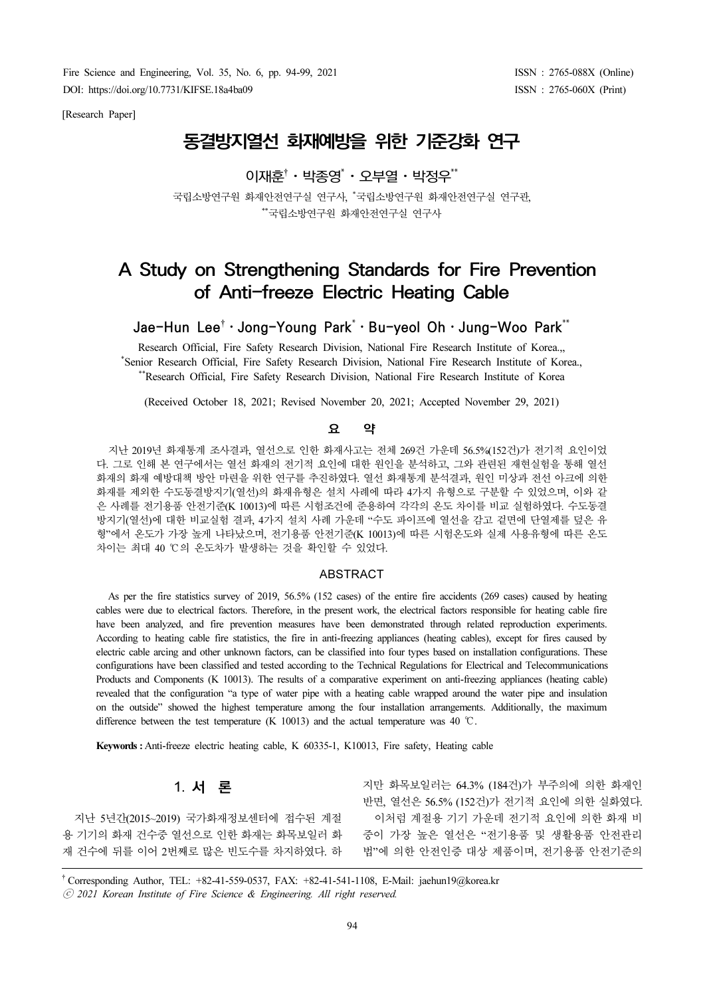Fire Science and Engineering, Vol. 35, No. 6, pp. 94-99, 2021 DOI: https://doi.org/10.7731/KIFSE.18a4ba09

ISSN : 2765-088X (Online) ISSN : 2765-060X (Print)

[Research Paper]

## 동결방지열선 화재예방을 위한 기준강화 연<del>구</del>

**|열신 와새에빙을 위인 기순경**<br>이재훈†・박종영\*・오부열・박정우\*

국립소방연구원 화재안전연구실 연구사, \* 국립소방연구원 화재안전연구실 연구관, \*\*국립소방연구원 화재안전연구실 연구사

# A Study on Strengthening Standards for Fire Prevention of Anti-freeze Electric Heating Cable

UI AITU TICCZC LICCUIC TICUMIC CODIC<br>Jae-Hun Lee<sup>†</sup> · Jong-Young Park<sup>\*</sup> · Bu-yeol Oh · Jung-Woo Park<sup>\*\*</sup>

Research Official, Fire Safety Research Division, National Fire Research Institute of Korea.,, Senior Research Official, Fire Safety Research Division, National Fire Research Institute of Korea., \*\*Research Official, Fire Safety Research Division, National Fire Research Institute of Korea

(Received October 18, 2021; Revised November 20, 2021; Accepted November 29, 2021)

#### 요 약

지난 2019년 화재통계 조사결과, 열선으로 인한 화재사고는 전체 269건 가운데 56.5%(152건)가 전기적 요인이었 다. 그로 인해 본 연구에서는 열선 화재의 전기적 요인에 대한 원인을 분석하고, 그와 관련된 재현실험을 통해 열선 화재의 화재 예방대책 방안 마련을 위한 연구를 추진하였다. 열선 화재통계 분석결과, 원인 미상과 전선 아크에 의한 화재를 제외한 수도동결방지기(열선)의 화재유형은 설치 사례에 따라 4가지 유형으로 구분할 수 있었으며, 이와 같 은 사례를 전기용품 안전기준(K 10013)에 따른 시험조건에 준용하여 각각의 온도 차이를 비교 실험하였다. 수도동결 방지기(열선)에 대한 비교실험 결과, 4가지 설치 사례 가운데 "수도 파이프에 열선을 감고 겉면에 단열제를 덮은 유 형"에서 온도가 가장 높게 나타났으며, 전기용품 안전기준(K 10013)에 따른 시험온도와 실제 사용유형에 따른 온도 차이는 최대 40 ℃의 온도차가 발생하는 것을 확인할 수 있었다.

#### ABSTRACT

As per the fire statistics survey of 2019, 56.5% (152 cases) of the entire fire accidents (269 cases) caused by heating cables were due to electrical factors. Therefore, in the present work, the electrical factors responsible for heating cable fire have been analyzed, and fire prevention measures have been demonstrated through related reproduction experiments. According to heating cable fire statistics, the fire in anti-freezing appliances (heating cables), except for fires caused by electric cable arcing and other unknown factors, can be classified into four types based on installation configurations. These configurations have been classified and tested according to the Technical Regulations for Electrical and Telecommunications Products and Components (K 10013). The results of a comparative experiment on anti-freezing appliances (heating cable) revealed that the configuration "a type of water pipe with a heating cable wrapped around the water pipe and insulation on the outside" showed the highest temperature among the four installation arrangements. Additionally, the maximum difference between the test temperature (K 10013) and the actual temperature was 40 °C.

Keywords : Anti-freeze electric heating cable, K 60335-1, K10013, Fire safety, Heating cable

## 1)1. 서 론

지난 5년간(2015~2019) 국가화재정보센터에 접수된 계절 용 기기의 화재 건수중 열선으로 인한 화재는 화목보일러 화 재 건수에 뒤를 이어 2번째로 많은 빈도수를 차지하였다. 하 지만 화목보일러는 64.3% (184건)가 부주의에 의한 화재인 반면, 열선은 56.5% (152건)가 전기적 요인에 의한 실화였다. 이처럼 계절용 기기 가운데 전기적 요인에 의한 화재 비 중이 가장 높은 열선은 "전기용품 및 생활용품 안전관리 법"에 의한 안전인증 대상 제품이며, 전기용품 안전기준의

† Corresponding Author, TEL: +82-41-559-0537, FAX: +82-41-541-1108, E-Mail: jaehun19@korea.kr

ⓒ 2021 Korean Institute of Fire Science & Engineering. All right reserved.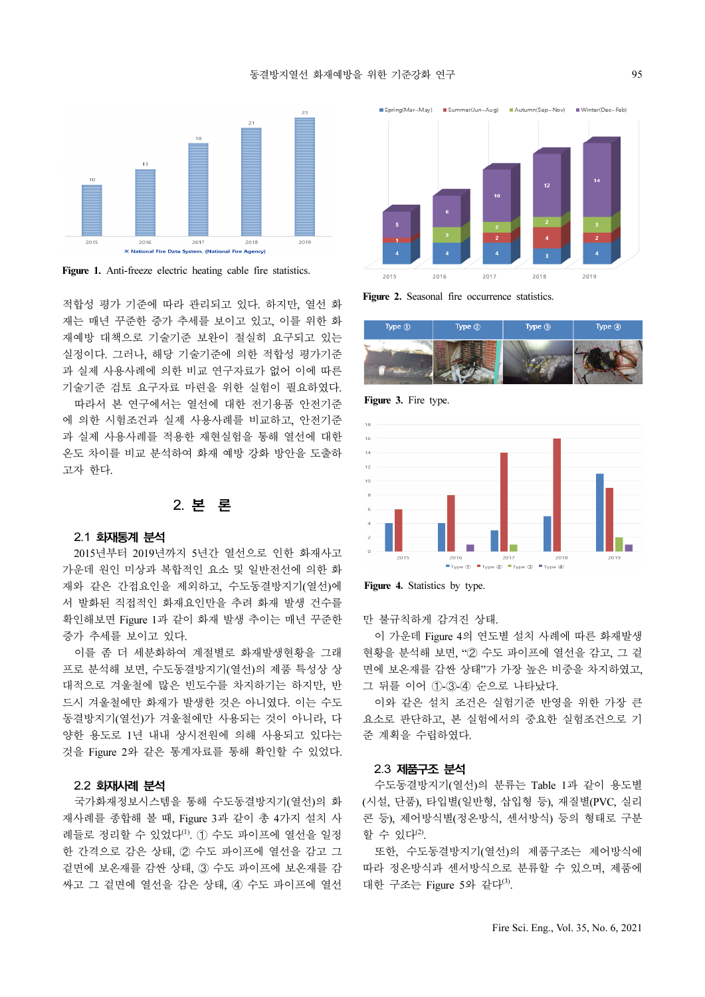

Figure 1. Anti-freeze electric heating cable fire statistics.

적합성 평가 기준에 따라 관리되고 있다. 하지만, 열선 화 재는 매년 꾸준한 증가 추세를 보이고 있고, 이를 위한 화 재예방 대책으로 기술기준 보완이 절실히 요구되고 있는 실정이다. 그러나, 해당 기술기준에 의한 적합성 평가기준 과 실제 사용사례에 의한 비교 연구자료가 없어 이에 따른 기술기준 검토 요구자료 마련을 위한 실험이 필요하였다.

따라서 본 연구에서는 열선에 대한 전기용품 안전기준 에 의한 시험조건과 실제 사용사례를 비교하고, 안전기준 과 실제 사용사례를 적용한 재현실험을 통해 열선에 대한 온도 차이를 비교 분석하여 화재 예방 강화 방안을 도출하 고자 한다.

### 2. 본 론

#### 2.1 화재통계 분석

2015년부터 2019년까지 5년간 열선으로 인한 화재사고 가운데 원인 미상과 복합적인 요소 및 일반전선에 의한 화 재와 같은 간접요인을 제외하고, 수도동결방지기(열선)에 서 발화된 직접적인 화재요인만을 추려 화재 발생 건수를 확인해보면 Figure 1과 같이 화재 발생 추이는 매년 꾸준한 증가 추세를 보이고 있다.

이를 좀 더 세분화하여 계절별로 화재발생현황을 그래 프로 분석해 보면, 수도동결방지기(열선)의 제품 특성상 상 대적으로 겨울철에 많은 빈도수를 차지하기는 하지만, 반 드시 겨울철에만 화재가 발생한 것은 아니였다. 이는 수도 동결방지기(열선)가 겨울철에만 사용되는 것이 아니라, 다 양한 용도로 1년 내내 상시전원에 의해 사용되고 있다는 것을 Figure 2와 같은 통계자료를 통해 확인할 수 있었다.

#### 2.2 화재사례 분석

국가화재정보시스템을 통해 수도동결방지기(열선)의 화 재사례를 종합해 볼 때, Figure 3과 같이 총 4가지 설치 사 례들로 정리할 수 있었다(1). ➀ 수도 파이프에 열선을 일정 한 간격으로 감은 상태, 2 수도 파이프에 열선을 감고 그 겉면에 보온재를 감싼 상태, ➂ 수도 파이프에 보온재를 감 싸고 그 겉면에 열선을 감은 상태, ➃ 수도 파이프에 열선



Figure 2. Seasonal fire occurrence statistics.



Figure 3. Fire type.



Figure 4. Statistics by type.

만 불규칙하게 감겨진 상태.

이 가운데 Figure 4의 연도별 설치 사례에 따른 화재발생 현황을 분석해 보면, "➁ 수도 파이프에 열선을 감고, 그 겉 면에 보온재를 감싼 상태"가 가장 높은 비중을 차지하였고, 그 뒤를 이어 ➀-➂-➃ 순으로 나타났다.

이와 같은 설치 조건은 실험기준 반영을 위한 가장 큰 요소로 판단하고, 본 실험에서의 중요한 실험조건으로 기 준 계획을 수립하였다.

#### 2.3 제품구조 분석

수도동결방지기(열선)의 분류는 Table 1과 같이 용도별 (시설, 단품), 타입별(일반형, 삽입형 등), 재질별(PVC, 실리 콘 등), 제어방식별(정온방식, 센서방식) 등의 형태로 구분 할 수 있다(2).

또한, 수도동결방지기(열선)의 제품구조는 제어방식에 따라 정온방식과 센서방식으로 분류할 수 있으며, 제품에 대한 구조는 Figure 5와 같다(3).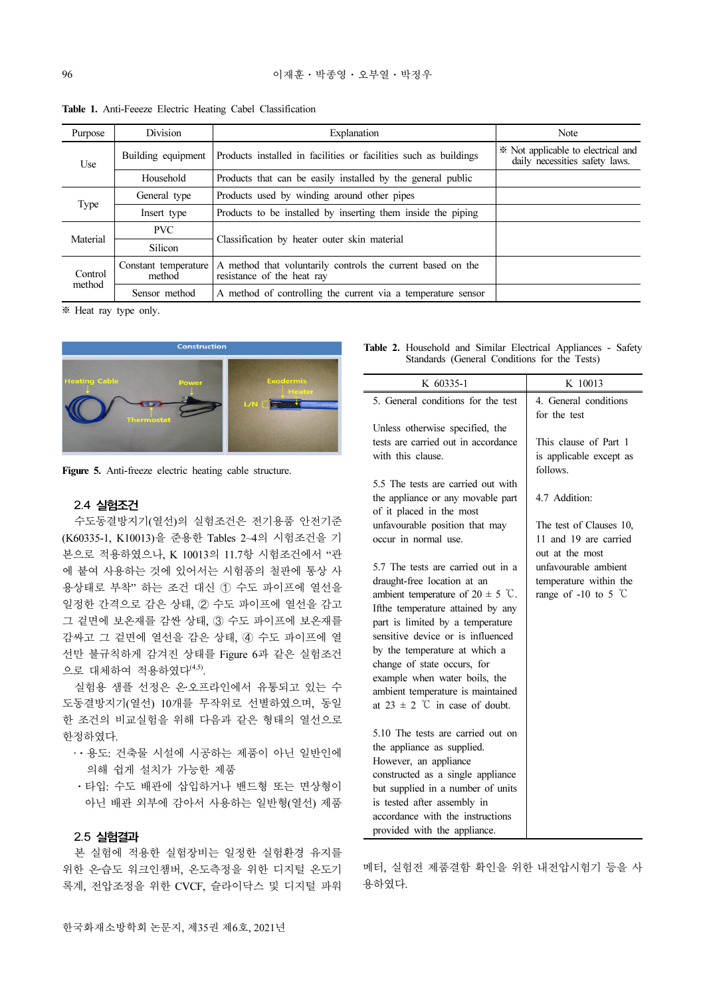| Purpose           | <b>Division</b>                | Explanation                                                                               | Note                                                                 |  |  |
|-------------------|--------------------------------|-------------------------------------------------------------------------------------------|----------------------------------------------------------------------|--|--|
| Use               | Building equipment             | Products installed in facilities or facilities such as buildings                          | * Not applicable to electrical and<br>daily necessities safety laws. |  |  |
|                   | Household                      | Products that can be easily installed by the general public                               |                                                                      |  |  |
| Type              | General type                   | Products used by winding around other pipes                                               |                                                                      |  |  |
|                   | Insert type                    | Products to be installed by inserting them inside the piping                              |                                                                      |  |  |
| Material          | PVC                            |                                                                                           |                                                                      |  |  |
|                   | Silicon                        | Classification by heater outer skin material                                              |                                                                      |  |  |
| Control<br>method | Constant temperature<br>method | A method that voluntarily controls the current based on the<br>resistance of the heat ray |                                                                      |  |  |
|                   | Sensor method                  | A method of controlling the current via a temperature sensor                              |                                                                      |  |  |

Table 1. Anti-Feeeze Electric Heating Cabel Classification

※ Heat ray type only.



Figure 5. Anti-freeze electric heating cable structure.

#### 2.4 실험조건

수도동결방지기(열선)의 실험조건은 전기용품 안전기준 (K60335-1, K10013)을 준용한 Tables 2~4의 시험조건을 기 본으로 적용하였으나, K 10013의 11.7항 시험조건에서 "관 에 붙여 사용하는 것에 있어서는 시험품의 철판에 통상 사 용상태로 부착" 하는 조건 대신 ➀ 수도 파이프에 열선을 일정한 간격으로 감은 상태, ➁ 수도 파이프에 열선을 감고 그 겉면에 보온재를 감싼 상태, ➂ 수도 파이프에 보온재를 감싸고 그 겉면에 열선을 감은 상태, ➃ 수도 파이프에 열 선만 불규칙하게 감겨진 상태를 Figure 6과 같은 실험조건 으로 대체하여 적용하였다<sup>(4,5)</sup>.

실험용 샘플 선정은 온‧오프라인에서 유통되고 있는 수 도동결방지기(열선) 10개를 무작위로 선별하였으며, 동일 한 조건의 비교실험을 위해 다음과 같은 형태의 열선으로 한정하였다.

- ‧⋅용도: 건축물 시설에 시공하는 제품이 아닌 일반인에 의해 쉽게 설치가 가능한 제품
- 타입: 수도 배관에 삽입하거나 밴드형 또는 면상형이 아닌 배관 외부에 감아서 사용하는 일반형(열선) 제품

## 2.5 실험결과

본 실험에 적용한 실험장비는 일정한 실험환경 유지를 위한 온‧습도 워크인챔버, 온도측정을 위한 디지털 온도기 록계, 전압조정을 위한 CVCF, 슬라이닥스 및 디지털 파워

|  | <b>Table 2.</b> Household and Similar Electrical Appliances - Safety |  |  |  |  |  |
|--|----------------------------------------------------------------------|--|--|--|--|--|
|  | Standards (General Conditions for the Tests)                         |  |  |  |  |  |

| K 60335-1                                                     | K 10013                               |
|---------------------------------------------------------------|---------------------------------------|
| 5. General conditions for the test                            | 4. General conditions<br>for the test |
| Unless otherwise specified, the                               |                                       |
| tests are carried out in accordance                           | This clause of Part 1                 |
| with this clause.                                             | is applicable except as<br>follows.   |
| 5.5 The tests are carried out with                            |                                       |
| the appliance or any movable part<br>of it placed in the most | 4.7 Addition:                         |
| unfavourable position that may                                | The test of Clauses 10,               |
| occur in normal use.                                          | 11 and 19 are carried                 |
|                                                               | out at the most                       |
| 5.7 The tests are carried out in a                            | unfavourable ambient                  |
| draught-free location at an                                   | temperature within the                |
| ambient temperature of $20 \pm 5$ °C.                         | range of -10 to 5 $\degree$ C         |
| Ifthe temperature attained by any                             |                                       |
| part is limited by a temperature                              |                                       |
| sensitive device or is influenced                             |                                       |
| by the temperature at which a                                 |                                       |
| change of state occurs, for                                   |                                       |
| example when water boils, the                                 |                                       |
| ambient temperature is maintained                             |                                       |
| at $23 \pm 2$ °C in case of doubt.                            |                                       |
| 5.10 The tests are carried out on                             |                                       |
| the appliance as supplied.                                    |                                       |
| However, an appliance                                         |                                       |
| constructed as a single appliance                             |                                       |
| but supplied in a number of units                             |                                       |
| is tested after assembly in                                   |                                       |
| accordance with the instructions                              |                                       |
| provided with the appliance.                                  |                                       |

메터, 실험전 제품결함 확인을 위한 내전압시험기 등을 사 용하였다.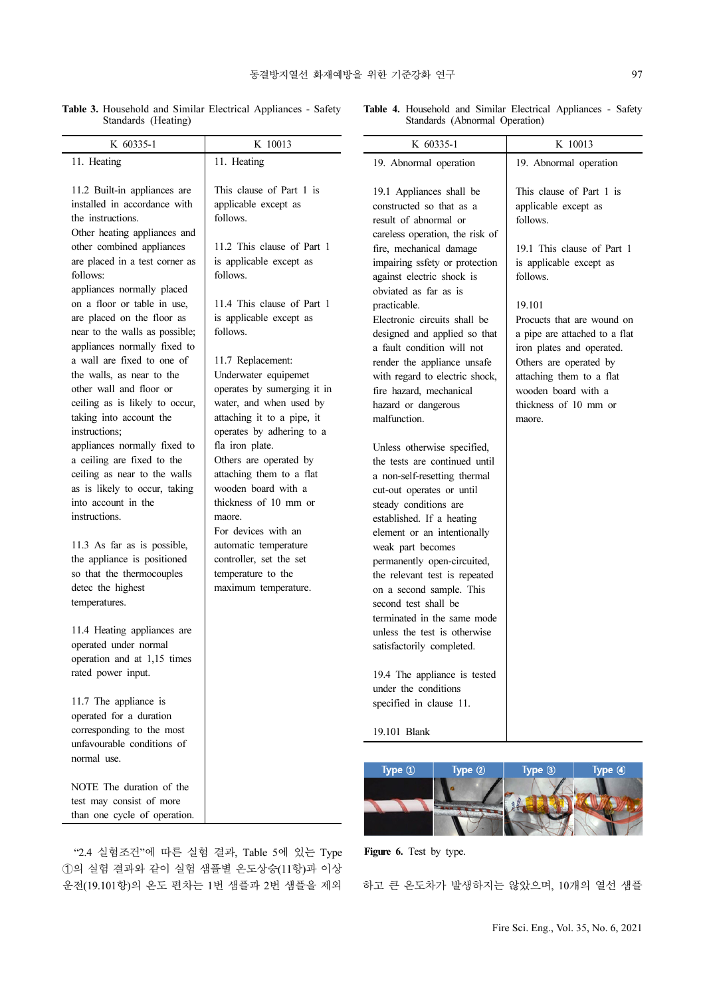Table 4. Household and Similar Electrical Appliances - Safety

| Standards (Heating)                                                                                                                                                                                                                                                                                                                                                                                                                                                                                                                                                                                                                                                                                                                                                                                                                                                                                                                                                                                                                                                                                                                                                      |                                                                                                                                                                                                                                                                                                                                                                                                                                                                                                                                                                                                                                      | Standards (Abnormal Operation)                                                                                                                                                                                                                                                                                                                                                                                                                                                                                                                                                                                                                                                                                                                                                                                                                                                                                                                                                                                                                                     |                                                                                                                                                                                                                                                                                                                                                                             |  |  |
|--------------------------------------------------------------------------------------------------------------------------------------------------------------------------------------------------------------------------------------------------------------------------------------------------------------------------------------------------------------------------------------------------------------------------------------------------------------------------------------------------------------------------------------------------------------------------------------------------------------------------------------------------------------------------------------------------------------------------------------------------------------------------------------------------------------------------------------------------------------------------------------------------------------------------------------------------------------------------------------------------------------------------------------------------------------------------------------------------------------------------------------------------------------------------|--------------------------------------------------------------------------------------------------------------------------------------------------------------------------------------------------------------------------------------------------------------------------------------------------------------------------------------------------------------------------------------------------------------------------------------------------------------------------------------------------------------------------------------------------------------------------------------------------------------------------------------|--------------------------------------------------------------------------------------------------------------------------------------------------------------------------------------------------------------------------------------------------------------------------------------------------------------------------------------------------------------------------------------------------------------------------------------------------------------------------------------------------------------------------------------------------------------------------------------------------------------------------------------------------------------------------------------------------------------------------------------------------------------------------------------------------------------------------------------------------------------------------------------------------------------------------------------------------------------------------------------------------------------------------------------------------------------------|-----------------------------------------------------------------------------------------------------------------------------------------------------------------------------------------------------------------------------------------------------------------------------------------------------------------------------------------------------------------------------|--|--|
| K 60335-1                                                                                                                                                                                                                                                                                                                                                                                                                                                                                                                                                                                                                                                                                                                                                                                                                                                                                                                                                                                                                                                                                                                                                                | K 10013                                                                                                                                                                                                                                                                                                                                                                                                                                                                                                                                                                                                                              | K 60335-1                                                                                                                                                                                                                                                                                                                                                                                                                                                                                                                                                                                                                                                                                                                                                                                                                                                                                                                                                                                                                                                          | K 10013                                                                                                                                                                                                                                                                                                                                                                     |  |  |
| 11. Heating                                                                                                                                                                                                                                                                                                                                                                                                                                                                                                                                                                                                                                                                                                                                                                                                                                                                                                                                                                                                                                                                                                                                                              | 11. Heating                                                                                                                                                                                                                                                                                                                                                                                                                                                                                                                                                                                                                          | 19. Abnormal operation                                                                                                                                                                                                                                                                                                                                                                                                                                                                                                                                                                                                                                                                                                                                                                                                                                                                                                                                                                                                                                             | 19. Abnormal operation                                                                                                                                                                                                                                                                                                                                                      |  |  |
| 11.2 Built-in appliances are<br>installed in accordance with<br>the instructions.<br>Other heating appliances and<br>other combined appliances<br>are placed in a test corner as<br>follows:<br>appliances normally placed<br>on a floor or table in use,<br>are placed on the floor as<br>near to the walls as possible;<br>appliances normally fixed to<br>a wall are fixed to one of<br>the walls, as near to the<br>other wall and floor or<br>ceiling as is likely to occur,<br>taking into account the<br>instructions;<br>appliances normally fixed to<br>a ceiling are fixed to the<br>ceiling as near to the walls<br>as is likely to occur, taking<br>into account in the<br>instructions.<br>11.3 As far as is possible,<br>the appliance is positioned<br>so that the thermocouples<br>detec the highest<br>temperatures.<br>11.4 Heating appliances are<br>operated under normal<br>operation and at 1,15 times<br>rated power input.<br>11.7 The appliance is<br>operated for a duration<br>corresponding to the most<br>unfavourable conditions of<br>normal use.<br>NOTE The duration of the<br>test may consist of more<br>than one cycle of operation. | This clause of Part 1 is<br>applicable except as<br>follows.<br>11.2 This clause of Part 1<br>is applicable except as<br>follows.<br>11.4 This clause of Part 1<br>is applicable except as<br>follows.<br>11.7 Replacement:<br>Underwater equipemet<br>operates by sumerging it in<br>water, and when used by<br>attaching it to a pipe, it<br>operates by adhering to a<br>fla iron plate.<br>Others are operated by<br>attaching them to a flat<br>wooden board with a<br>thickness of 10 mm or<br>maore.<br>For devices with an<br>automatic temperature<br>controller, set the set<br>temperature to the<br>maximum temperature. | 19.1 Appliances shall be<br>constructed so that as a<br>result of abnormal or<br>careless operation, the risk of<br>fire, mechanical damage<br>impairing ssfety or protection<br>against electric shock is<br>obviated as far as is<br>practicable.<br>Electronic circuits shall be<br>designed and applied so that<br>a fault condition will not<br>render the appliance unsafe<br>with regard to electric shock,<br>fire hazard, mechanical<br>hazard or dangerous<br>malfunction.<br>Unless otherwise specified,<br>the tests are continued until<br>a non-self-resetting thermal<br>cut-out operates or until<br>steady conditions are<br>established. If a heating<br>element or an intentionally<br>weak part becomes<br>permanently open-circuited,<br>the relevant test is repeated<br>on a second sample. This<br>second test shall be<br>terminated in the same mode<br>unless the test is otherwise<br>satisfactorily completed.<br>19.4 The appliance is tested<br>under the conditions<br>specified in clause 11.<br>19.101 Blank<br>Type ①<br>Type 2 | This clause of Part 1 is<br>applicable except as<br>follows.<br>19.1 This clause of Part 1<br>is applicable except as<br>follows.<br>19.101<br>Procucts that are wound on<br>a pipe are attached to a flat<br>iron plates and operated.<br>Others are operated by<br>attaching them to a flat<br>wooden board with a<br>thickness of 10 mm or<br>maore.<br>Type 3<br>Type 4 |  |  |

Table 3. Household and Similar Electrical Appliances - Safety Standards (Heating)

"2.4 실험조건"에 따른 실험 결과, Table 5에 있는 Type ➀의 실험 결과와 같이 실험 샘플별 온도상승(11항)과 이상 운전(19.101항)의 온도 편차는 1번 샘플과 2번 샘플을 제외 하고 큰 온도차가 발생하지는 않았으며, 10개의 열선 샘플

Figure 6. Test by type.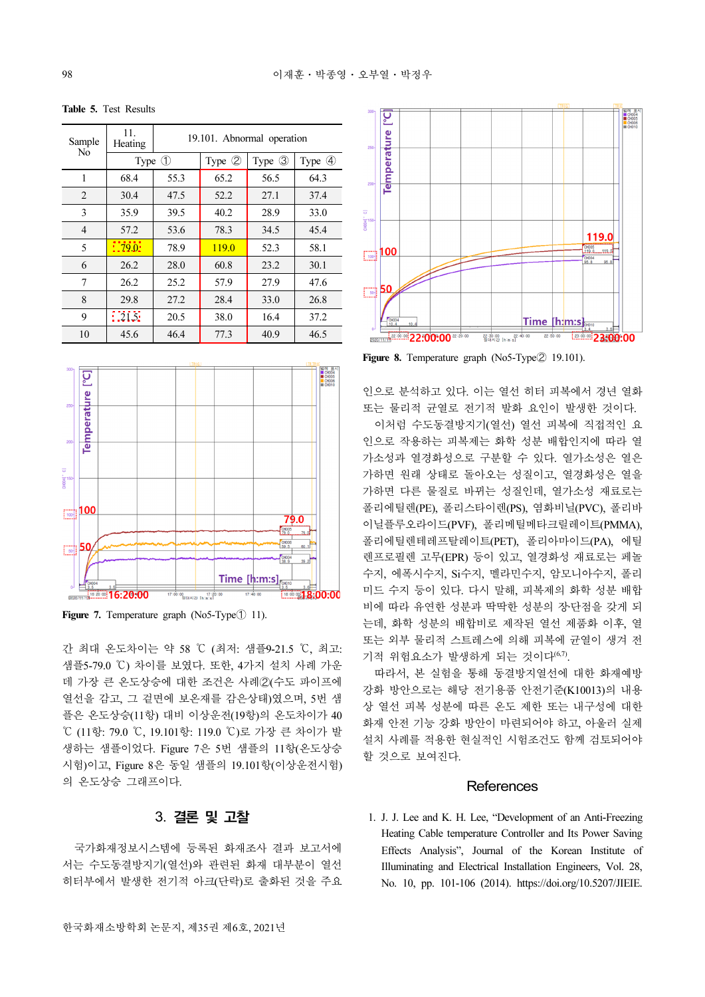| Sample         | 11.<br>Heating | 19.101. Abnormal operation |        |        |                    |  |  |  |
|----------------|----------------|----------------------------|--------|--------|--------------------|--|--|--|
| No             |                | Type ①                     | Type 2 | Type 3 | Type $\circled{4}$ |  |  |  |
| 1              | 68.4           | 55.3                       | 65.2   | 56.5   | 64.3               |  |  |  |
| 2              | 30.4           | 47.5                       | 52.2   | 27.1   | 37.4               |  |  |  |
| 3              | 35.9           | 39.5                       | 40.2   | 28.9   | 33.0               |  |  |  |
| $\overline{4}$ | 57.2           | 53.6                       | 78.3   | 34.5   | 45.4               |  |  |  |
| 5              | : 79.0:        | 78.9                       | 119.0  | 52.3   | 58.1               |  |  |  |
| 6              | 26.2           | 28.0                       | 60.8   | 23.2   | 30.1               |  |  |  |
| 7              | 26.2           | 25.2                       | 57.9   | 27.9   | 47.6               |  |  |  |
| 8              | 29.8           | 27.2                       | 28.4   | 33.0   | 26.8               |  |  |  |
| 9              | $-21.5$        | 20.5                       | 38.0   | 16.4   | 37.2               |  |  |  |
| 10             | 45.6           | 46.4                       | 77.3   | 40.9   | 46.5               |  |  |  |

Table 5. Test Results



Figure 7. Temperature graph (No5-Type① 11).

간 최대 온도차이는 약 58 ℃ (최저: 샘플9-21.5 ℃, 최고: 샘플5-79.0 ℃) 차이를 보였다. 또한, 4가지 설치 사례 가운 데 가장 큰 온도상승에 대한 조건은 사례➁(수도 파이프에 열선을 감고, 그 겉면에 보온재를 감은상태)였으며, 5번 샘 플은 온도상승(11항) 대비 이상운전(19항)의 온도차이가 40 ℃ (11항: 79.0 ℃, 19.101항: 119.0 ℃)로 가장 큰 차이가 발 생하는 샘플이었다. Figure 7은 5번 샘플의 11항(온도상승 시험)이고, Figure 8은 동일 샘플의 19.101항(이상운전시험) 의 온도상승 그래프이다.

## 3. 결론 및 고찰

국가화재정보시스템에 등록된 화재조사 결과 보고서에 서는 수도동결방지기(열선)와 관련된 화재 대부분이 열선 히터부에서 발생한 전기적 아크(단락)로 출화된 것을 주요



Figure 8. Temperature graph (No5-Type $(2)$  19.101).

인으로 분석하고 있다. 이는 열선 히터 피복에서 경년 열화 또는 물리적 균열로 전기적 발화 요인이 발생한 것이다. 이처럼 수도동결방지기(열선) 열선 피복에 직접적인 요

인으로 작용하는 피복제는 화학 성분 배합인지에 따라 열 가소성과 열경화성으로 구분할 수 있다. 열가소성은 열은 가하면 원래 상태로 돌아오는 성질이고, 열경화성은 열을 가하면 다른 물질로 바뀌는 성질인데, 열가소성 재료로는 폴리에틸렌(PE), 폴리스타이렌(PS), 염화비닐(PVC), 폴리바 이닐플루오라이드(PVF), 폴리메틸메타크릴레이트(PMMA), 폴리에틸렌테레프탈레이트(PET), 폴리아마이드(PA), 에틸 렌프로필렌 고무(EPR) 등이 있고, 열경화성 재료로는 페놀 수지, 에폭시수지, Si수지, 멜라민수지, 암모니아수지, 폴리 미드 수지 등이 있다. 다시 말해, 피복제의 화학 성분 배합 비에 따라 유연한 성분과 딱딱한 성분의 장‧단점을 갖게 되 는데, 화학 성분의 배합비로 제작된 열선 제품화 이후, 열 또는 외부 물리적 스트레스에 의해 피복에 균열이 생겨 전 기적 위험요소가 발생하게 되는 것이다(6,7).

따라서, 본 실험을 통해 동결방지열선에 대한 화재예방 강화 방안으로는 해당 전기용품 안전기준(K10013)의 내용 상 열선 피복 성분에 따른 온도 제한 또는 내구성에 대한 화재 안전 기능 강화 방안이 마련되어야 하고, 아울러 실제 설치 사례를 적용한 현실적인 시험조건도 함께 검토되어야 할 것으로 보여진다.

### **References**

1. J. J. Lee and K. H. Lee, "Development of an Anti-Freezing Heating Cable temperature Controller and Its Power Saving Effects Analysis", Journal of the Korean Institute of Illuminating and Electrical Installation Engineers, Vol. 28, No. 10, pp. 101-106 (2014). https://doi.org/10.5207/JIEIE.

98